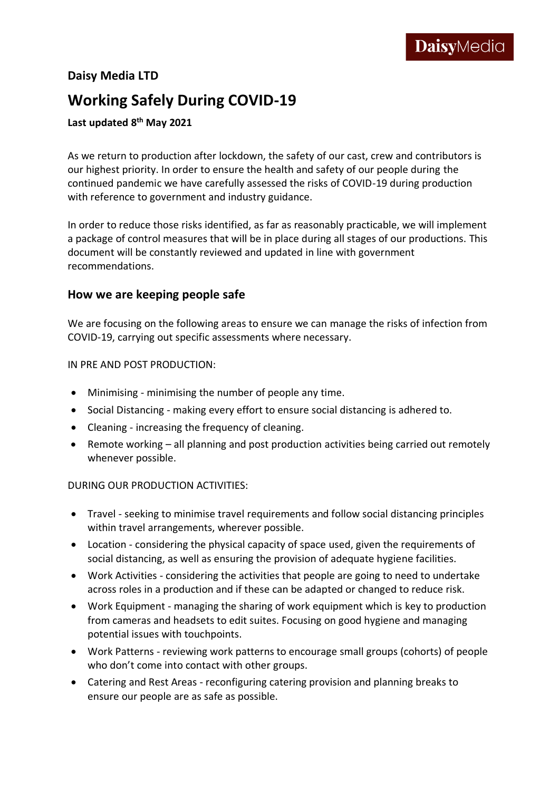### **Daisy Media LTD**

# **Working Safely During COVID-19**

### **Last updated 8 th May 2021**

As we return to production after lockdown, the safety of our cast, crew and contributors is our highest priority. In order to ensure the health and safety of our people during the continued pandemic we have carefully assessed the risks of COVID-19 during production with reference to government and industry guidance.

In order to reduce those risks identified, as far as reasonably practicable, we will implement a package of control measures that will be in place during all stages of our productions. This document will be constantly reviewed and updated in line with government recommendations.

### **How we are keeping people safe**

We are focusing on the following areas to ensure we can manage the risks of infection from COVID-19, carrying out specific assessments where necessary.

IN PRE AND POST PRODUCTION:

- Minimising minimising the number of people any time.
- Social Distancing making every effort to ensure social distancing is adhered to.
- Cleaning increasing the frequency of cleaning.
- Remote working all planning and post production activities being carried out remotely whenever possible.

### DURING OUR PRODUCTION ACTIVITIES:

- Travel seeking to minimise travel requirements and follow social distancing principles within travel arrangements, wherever possible.
- Location considering the physical capacity of space used, given the requirements of social distancing, as well as ensuring the provision of adequate hygiene facilities.
- Work Activities considering the activities that people are going to need to undertake across roles in a production and if these can be adapted or changed to reduce risk.
- Work Equipment managing the sharing of work equipment which is key to production from cameras and headsets to edit suites. Focusing on good hygiene and managing potential issues with touchpoints.
- Work Patterns reviewing work patterns to encourage small groups (cohorts) of people who don't come into contact with other groups.
- Catering and Rest Areas reconfiguring catering provision and planning breaks to ensure our people are as safe as possible.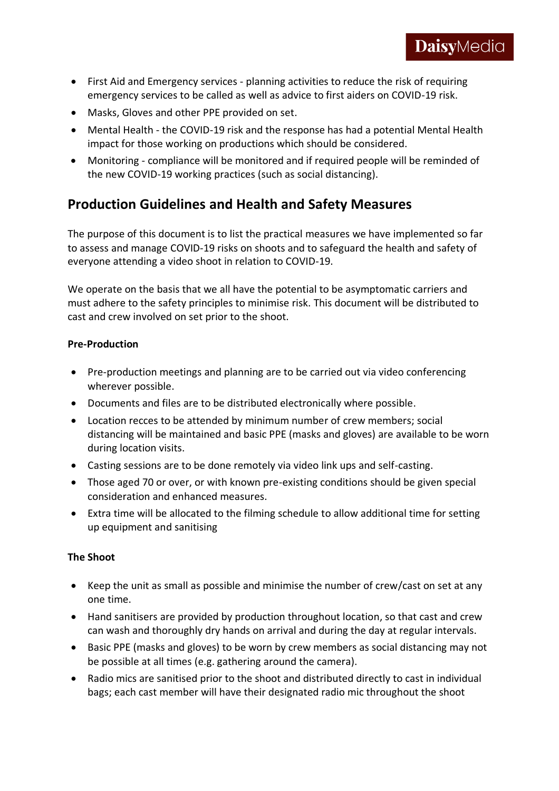- First Aid and Emergency services planning activities to reduce the risk of requiring emergency services to be called as well as advice to first aiders on COVID-19 risk.
- Masks, Gloves and other PPE provided on set.
- Mental Health the COVID-19 risk and the response has had a potential Mental Health impact for those working on productions which should be considered.
- Monitoring compliance will be monitored and if required people will be reminded of the new COVID-19 working practices (such as social distancing).

## **Production Guidelines and Health and Safety Measures**

The purpose of this document is to list the practical measures we have implemented so far to assess and manage COVID-19 risks on shoots and to safeguard the health and safety of everyone attending a video shoot in relation to COVID-19.

We operate on the basis that we all have the potential to be asymptomatic carriers and must adhere to the safety principles to minimise risk. This document will be distributed to cast and crew involved on set prior to the shoot.

### **Pre-Production**

- Pre-production meetings and planning are to be carried out via video conferencing wherever possible.
- Documents and files are to be distributed electronically where possible.
- Location recces to be attended by minimum number of crew members; social distancing will be maintained and basic PPE (masks and gloves) are available to be worn during location visits.
- Casting sessions are to be done remotely via video link ups and self-casting.
- Those aged 70 or over, or with known pre-existing conditions should be given special consideration and enhanced measures.
- Extra time will be allocated to the filming schedule to allow additional time for setting up equipment and sanitising

### **The Shoot**

- Keep the unit as small as possible and minimise the number of crew/cast on set at any one time.
- Hand sanitisers are provided by production throughout location, so that cast and crew can wash and thoroughly dry hands on arrival and during the day at regular intervals.
- Basic PPE (masks and gloves) to be worn by crew members as social distancing may not be possible at all times (e.g. gathering around the camera).
- Radio mics are sanitised prior to the shoot and distributed directly to cast in individual bags; each cast member will have their designated radio mic throughout the shoot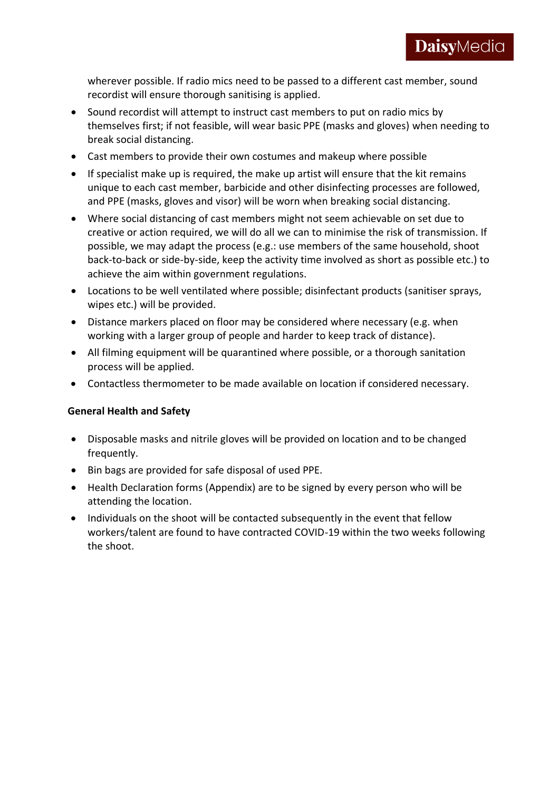wherever possible. If radio mics need to be passed to a different cast member, sound recordist will ensure thorough sanitising is applied.

- Sound recordist will attempt to instruct cast members to put on radio mics by themselves first; if not feasible, will wear basic PPE (masks and gloves) when needing to break social distancing.
- Cast members to provide their own costumes and makeup where possible
- If specialist make up is required, the make up artist will ensure that the kit remains unique to each cast member, barbicide and other disinfecting processes are followed, and PPE (masks, gloves and visor) will be worn when breaking social distancing.
- Where social distancing of cast members might not seem achievable on set due to creative or action required, we will do all we can to minimise the risk of transmission. If possible, we may adapt the process (e.g.: use members of the same household, shoot back-to-back or side-by-side, keep the activity time involved as short as possible etc.) to achieve the aim within government regulations.
- Locations to be well ventilated where possible; disinfectant products (sanitiser sprays, wipes etc.) will be provided.
- Distance markers placed on floor may be considered where necessary (e.g. when working with a larger group of people and harder to keep track of distance).
- All filming equipment will be quarantined where possible, or a thorough sanitation process will be applied.
- Contactless thermometer to be made available on location if considered necessary.

### **General Health and Safety**

- Disposable masks and nitrile gloves will be provided on location and to be changed frequently.
- Bin bags are provided for safe disposal of used PPE.
- Health Declaration forms (Appendix) are to be signed by every person who will be attending the location.
- Individuals on the shoot will be contacted subsequently in the event that fellow workers/talent are found to have contracted COVID-19 within the two weeks following the shoot.